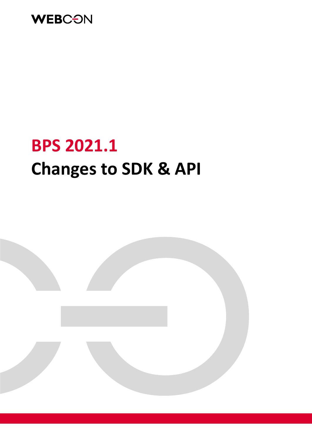

# **BPS 2021.1 Changes to SDK & API**

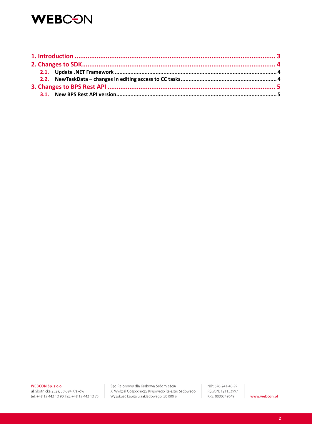## **WEBCON**

WEBCON Sp. z o.o.

ul. Skotnicka 252a, 30-394 Kraków tel: +48 12 443 13 90, fax: +48 12 443 13 75

Sąd Rejonowy dla Krakowa Śródmieścia XI Wydział Gospodarczy Krajowego Rejestru Sądowego Wysokość kapitału zakładowego: 50 000 zł

NIP: 676-241-40-97 REGON: 121153997 KRS: 0000349649

www.webcon.pl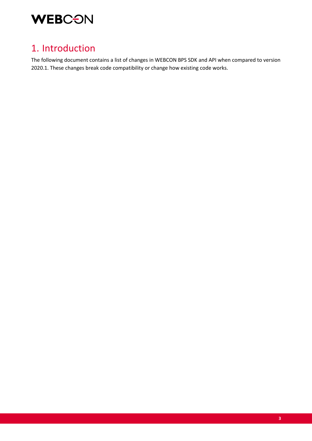

### 1. Introduction

The following document contains a list of changes in WEBCON BPS SDK and API when compared to version 2020.1. These changes break code compatibility or change how existing code works.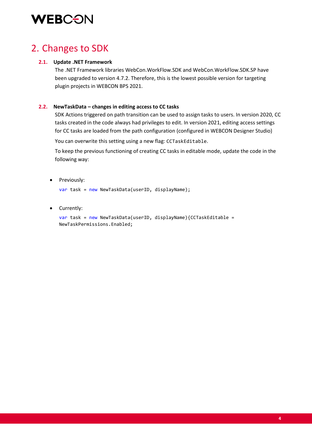# **WEBCON**

### 2. Changes to SDK

#### **2.1. Update .NET Framework**

The .NET Framework libraries WebCon.WorkFlow.SDK and WebCon.WorkFlow.SDK.SP have been upgraded to version 4.7.2. Therefore, this is the lowest possible version for targeting plugin projects in WEBCON BPS 2021.

#### **2.2. NewTaskData – changes in editing access to CC tasks**

SDK Actions triggered on path transition can be used to assign tasks to users. In version 2020, CC tasks created in the code always had privileges to edit. In version 2021, editing access settings for CC tasks are loaded from the path configuration (configured in WEBCON Designer Studio)

You can overwrite this setting using a new flag: CCTaskEditable.

To keep the previous functioning of creating CC tasks in editable mode, update the code in the following way:

• Previously:

var task = new NewTaskData(userID, displayName);

• Currently:

```
var task = new NewTaskData(userID, displayName){CCTaskEditable = 
NewTaskPermissions.Enabled;
```